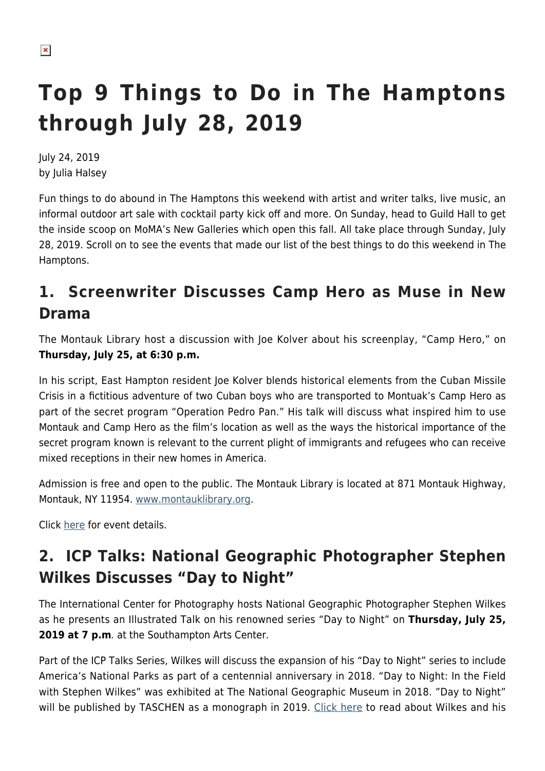# **Top 9 Things to Do in The Hamptons through July 28, 2019**

July 24, 2019 by Julia Halsey

Fun things to do abound in The Hamptons this weekend with artist and writer talks, live music, an informal outdoor art sale with cocktail party kick off and more. On Sunday, head to Guild Hall to get the inside scoop on MoMA's New Galleries which open this fall. All take place through Sunday, July 28, 2019. Scroll on to see the events that made our list of the best things to do this weekend in The Hamptons.

## **1. Screenwriter Discusses Camp Hero as Muse in New Drama**

The Montauk Library host a discussion with Joe Kolver about his screenplay, "Camp Hero," on **Thursday, July 25, at 6:30 p.m.**

In his script, East Hampton resident Joe Kolver blends historical elements from the Cuban Missile Crisis in a fictitious adventure of two Cuban boys who are transported to Montuak's Camp Hero as part of the secret program "Operation Pedro Pan." His talk will discuss what inspired him to use Montauk and Camp Hero as the film's location as well as the ways the historical importance of the secret program known is relevant to the current plight of immigrants and refugees who can receive mixed receptions in their new homes in America.

Admission is free and open to the public. The Montauk Library is located at 871 Montauk Highway, Montauk, NY 11954. [www.montauklibrary.org.](http://www.montauklibrary.org)

Click [here](http://montauklibrary.org/calendar/) for event details.

## **2. ICP Talks: National Geographic Photographer Stephen Wilkes Discusses "Day to Night"**

The International Center for Photography hosts National Geographic Photographer Stephen Wilkes as he presents an Illustrated Talk on his renowned series "Day to Night" on **Thursday, July 25, 2019 at 7 p.m**. at the Southampton Arts Center.

Part of the ICP Talks Series, Wilkes will discuss the expansion of his "Day to Night" series to include America's National Parks as part of a centennial anniversary in 2018. "Day to Night: In the Field with Stephen Wilkes" was exhibited at The National Geographic Museum in 2018. "Day to Night" will be published by TASCHEN as a monograph in 2019. [Click here](https://hamptonsarthub.com/2018/08/30/exhibitions-photographer-stephen-wilkes-condenses-time-in-day-to-night-urbanscapes-opening-at-tulla-booth-gallery/) to read about Wilkes and his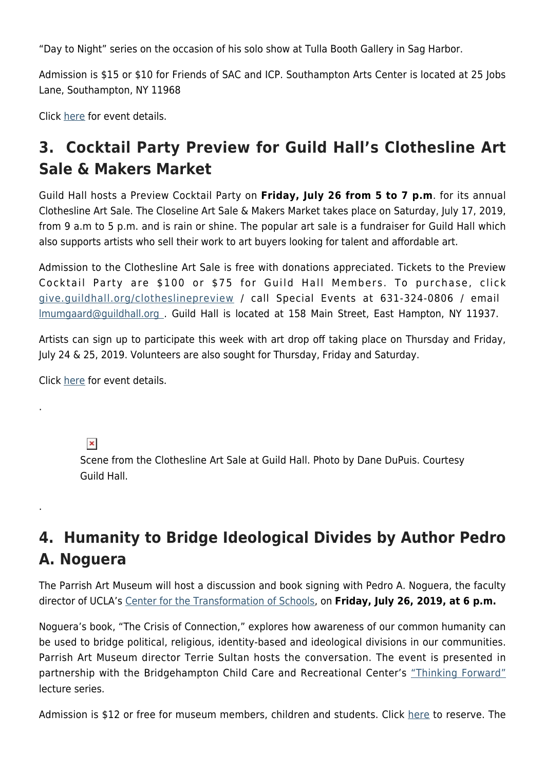"Day to Night" series on the occasion of his solo show at Tulla Booth Gallery in Sag Harbor.

Admission is \$15 or \$10 for Friends of SAC and ICP. Southampton Arts Center is located at 25 Jobs Lane, Southampton, NY 11968

Click [here](https://southamptonartscenter.org/event/icp-talks-illustrated-talk-stephen-wilkes-national-geographic-photographer/) for event details.

## **3. Cocktail Party Preview for Guild Hall's Clothesline Art Sale & Makers Market**

Guild Hall hosts a Preview Cocktail Party on **Friday, July 26 from 5 to 7 p.m**. for its annual Clothesline Art Sale. The Closeline Art Sale & Makers Market takes place on Saturday, July 17, 2019, from 9 a.m to 5 p.m. and is rain or shine. The popular art sale is a fundraiser for Guild Hall which also supports artists who sell their work to art buyers looking for talent and affordable art.

Admission to the Clothesline Art Sale is free with donations appreciated. Tickets to the Preview Cocktail Party are \$100 or \$75 for Guild Hall Members. To purchase, click [give.guildhall.org/clotheslinepreview](http://give.guildhall.org/clotheslinepreview) / call Special Events at 631-324-0806 / email [lmumgaard@guildhall.org](mailto:lmumgaard@guildhall.org) . Guild Hall is located at 158 Main Street, East Hampton, NY 11937.

Artists can sign up to participate this week with art drop off taking place on Thursday and Friday, July 24 & 25, 2019. Volunteers are also sought for Thursday, Friday and Saturday.

Click [here](https://hamptonsarthub.com/2019/07/23/events-clothesline-art-sale-last-call-for-artists-for-weekend-art-show-with-preview-cocktail-party/) for event details.

 $\pmb{\times}$ 

.

.

Scene from the Clothesline Art Sale at Guild Hall. Photo by Dane DuPuis. Courtesy Guild Hall.

## **4. Humanity to Bridge Ideological Divides by Author Pedro A. Noguera**

The Parrish Art Museum will host a discussion and book signing with Pedro A. Noguera, the faculty director of UCLA's [Center for the Transformation of Schools,](http://transformschools.ucla.edu/) on **Friday, July 26, 2019, at 6 p.m.**

Noguera's book, "The Crisis of Connection," explores how awareness of our common humanity can be used to bridge political, religious, identity-based and ideological divisions in our communities. Parrish Art Museum director Terrie Sultan hosts the conversation. The event is presented in partnership with the Bridgehampton Child Care and Recreational Center's ["Thinking Forward"](https://www.bhccrc.org/thinking-forward-lecture-series) lecture series.

Admission is \$12 or free for museum members, children and students. Click [here](https://327.blackbaudhosting.com/327/tickets?tab=2&txobjid=8e1feb35-1a6a-4030-9336-5c8b69fa95de) to reserve. The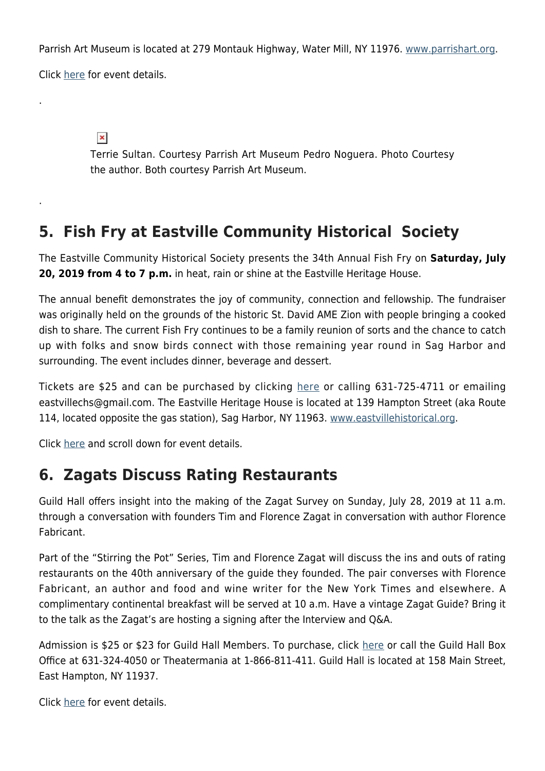Parrish Art Museum is located at 279 Montauk Highway, Water Mill, NY 11976. [www.parrishart.org](http://www.parrishart.org).

Click [here](https://parrishart.org/event/pedro-a-noguera/) for event details.

.

.

 $\pmb{\times}$ 

Terrie Sultan. Courtesy Parrish Art Museum Pedro Noguera. Photo Courtesy the author. Both courtesy Parrish Art Museum.

#### **5. Fish Fry at Eastville Community Historical Society**

The Eastville Community Historical Society presents the 34th Annual Fish Fry on **Saturday, July 20, 2019 from 4 to 7 p.m.** in heat, rain or shine at the Eastville Heritage House.

The annual benefit demonstrates the joy of community, connection and fellowship. The fundraiser was originally held on the grounds of the historic St. David AME Zion with people bringing a cooked dish to share. The current Fish Fry continues to be a family reunion of sorts and the chance to catch up with folks and snow birds connect with those remaining year round in Sag Harbor and surrounding. The event includes dinner, beverage and dessert.

Tickets are \$25 and can be purchased by clicking [here](https://www.eventbrite.com/e/thirty-fourth-annual-old-fashioned-tickets-63731189704?aff=ebdssbdestsearch) or calling 631-725-4711 or emailing eastvillechs@gmail.com. The Eastville Heritage House is located at 139 Hampton Street (aka Route 114, located opposite the gas station), Sag Harbor, NY 11963. [www.eastvillehistorical.org](https://www.eastvillehistorical.org/).

Click [here](https://www.eastvillehistorical.org/) and scroll down for event details.

#### **6. Zagats Discuss Rating Restaurants**

Guild Hall offers insight into the making of the Zagat Survey on Sunday, July 28, 2019 at 11 a.m. through a conversation with founders Tim and Florence Zagat in conversation with author Florence Fabricant.

Part of the "Stirring the Pot" Series, Tim and Florence Zagat will discuss the ins and outs of rating restaurants on the 40th anniversary of the guide they founded. The pair converses with Florence Fabricant, an author and food and wine writer for the New York Times and elsewhere. A complimentary continental breakfast will be served at 10 a.m. Have a vintage Zagat Guide? Bring it to the talk as the Zagat's are hosting a signing after the Interview and Q&A.

Admission is \$25 or \$23 for Guild Hall Members. To purchase, click [here](https://web.ovationtix.com/trs/pe/10405574) or call the Guild Hall Box Office at 631-324-4050 or Theatermania at 1-866-811-411. Guild Hall is located at 158 Main Street, East Hampton, NY 11937.

Click [here](https://www.guildhall.org/events/stirring-the-pot-tim-and-nina-zagat-hosted-and-interviewed-by-florence-fabricant/) for event details.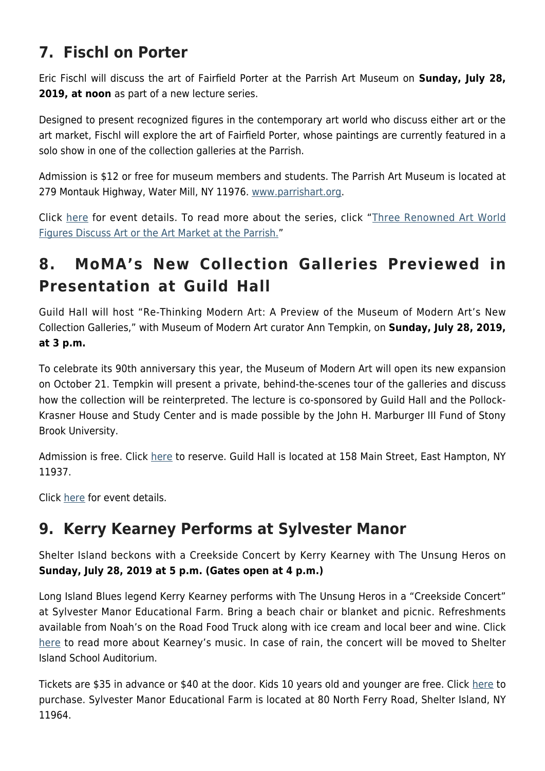## **7. Fischl on Porter**

Eric Fischl will discuss the art of Fairfield Porter at the Parrish Art Museum on **Sunday, July 28, 2019, at noon** as part of a new lecture series.

Designed to present recognized figures in the contemporary art world who discuss either art or the art market, Fischl will explore the art of Fairfield Porter, whose paintings are currently featured in a solo show in one of the collection galleries at the Parrish.

Admission is \$12 or free for museum members and students. The Parrish Art Museum is located at 279 Montauk Highway, Water Mill, NY 11976. [www.parrishart.org](http://www.parrishart.org).

Click [here](https://parrishart.org/programs-events/talks-tours/) for event details. To read more about the series, click "[Three Renowned Art World](https://hamptonsarthub.com/2019/07/23/events-three-renowned-art-world-figures-discuss-art-or-the-art-market-at-the-parrish/) [Figures Discuss Art or the Art Market at the Parrish.](https://hamptonsarthub.com/2019/07/23/events-three-renowned-art-world-figures-discuss-art-or-the-art-market-at-the-parrish/)"

## **8. MoMA's New Collection Galleries Previewed in Presentation at Guild Hall**

Guild Hall will host "Re-Thinking Modern Art: A Preview of the Museum of Modern Art's New Collection Galleries," with Museum of Modern Art curator Ann Tempkin, on **Sunday, July 28, 2019, at 3 p.m.**

To celebrate its 90th anniversary this year, the Museum of Modern Art will open its new expansion on October 21. Tempkin will present a private, behind-the-scenes tour of the galleries and discuss how the collection will be reinterpreted. The lecture is co-sponsored by Guild Hall and the Pollock-Krasner House and Study Center and is made possible by the John H. Marburger III Fund of Stony Brook University.

Admission is free. Click [here](https://web.ovationtix.com/trs/pe/10404930) to reserve. Guild Hall is located at 158 Main Street, East Hampton, NY 11937.

Click [here](https://www.guildhall.org/events/pollock-krasner-house-annual-lecture-with-ann-temkin/) for event details.

#### **9. Kerry Kearney Performs at Sylvester Manor**

Shelter Island beckons with a Creekside Concert by Kerry Kearney with The Unsung Heros on **Sunday, July 28, 2019 at 5 p.m. (Gates open at 4 p.m.)**

Long Island Blues legend Kerry Kearney performs with The Unsung Heros in a "Creekside Concert" at Sylvester Manor Educational Farm. Bring a beach chair or blanket and picnic. Refreshments available from Noah's on the Road Food Truck along with ice cream and local beer and wine. Click [here](http://kerrykearneyofficial.com/) to read more about Kearney's music. In case of rain, the concert will be moved to Shelter Island School Auditorium.

Tickets are \$35 in advance or \$40 at the door. Kids 10 years old and younger are free. Click [here](https://www.eventbrite.com/e/sylvester-manor-creekside-concert-kerry-kearney-band-and-the-unsung-heroes-tickets-60821342272?utm_source=SMEF+Main+Mailing+List&utm_campaign=8adc12aa26-EMAIL_CAMPAIGN_2019_07_16_04_26&utm_medium=email&utm_term=0_35ff9a83e9-8adc12aa26-453829061&mc_cid=8adc12aa26&mc_eid=d3e2c27185) to purchase. Sylvester Manor Educational Farm is located at 80 North Ferry Road, Shelter Island, NY 11964.